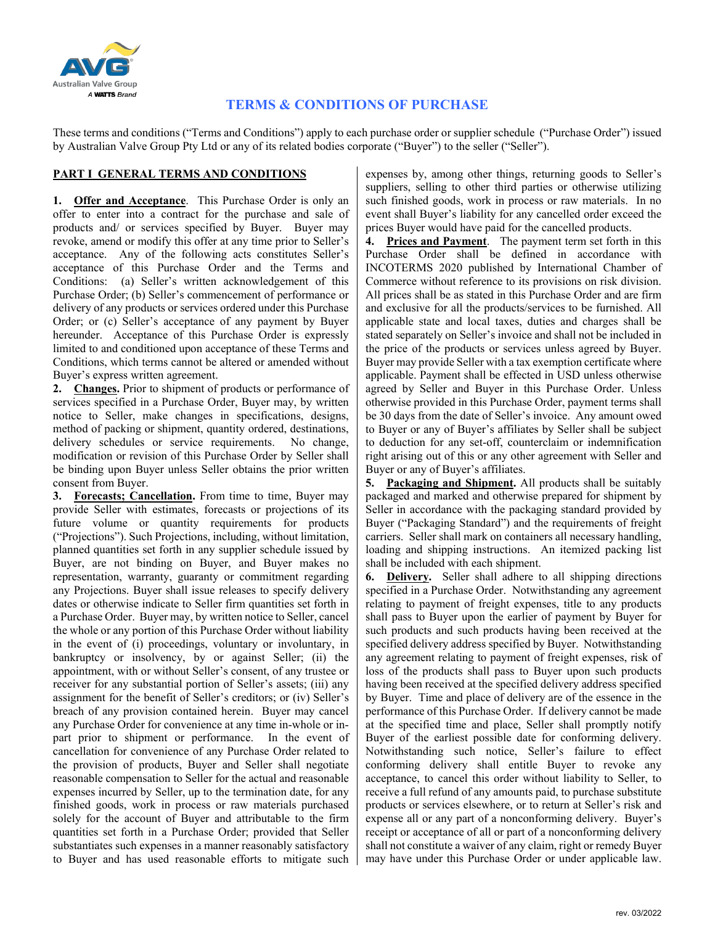

## **TERMS & CONDITIONS OF PURCHASE**

These terms and conditions ("Terms and Conditions") apply to each purchase order or supplier schedule ("Purchase Order") issued by Australian Valve Group Pty Ltd or any of its related bodies corporate ("Buyer") to the seller ("Seller").

## **PART I GENERAL TERMS AND CONDITIONS**

**1. Offer and Acceptance**. This Purchase Order is only an offer to enter into a contract for the purchase and sale of products and/ or services specified by Buyer. Buyer may revoke, amend or modify this offer at any time prior to Seller's acceptance. Any of the following acts constitutes Seller's acceptance of this Purchase Order and the Terms and Conditions: (a) Seller's written acknowledgement of this Purchase Order; (b) Seller's commencement of performance or delivery of any products or services ordered under this Purchase Order; or (c) Seller's acceptance of any payment by Buyer hereunder. Acceptance of this Purchase Order is expressly limited to and conditioned upon acceptance of these Terms and Conditions, which terms cannot be altered or amended without Buyer's express written agreement.

**2. Changes.** Prior to shipment of products or performance of services specified in a Purchase Order, Buyer may, by written notice to Seller, make changes in specifications, designs, method of packing or shipment, quantity ordered, destinations, delivery schedules or service requirements. No change, modification or revision of this Purchase Order by Seller shall be binding upon Buyer unless Seller obtains the prior written consent from Buyer.

**3. Forecasts; Cancellation.** From time to time, Buyer may provide Seller with estimates, forecasts or projections of its future volume or quantity requirements for products ("Projections"). Such Projections, including, without limitation, planned quantities set forth in any supplier schedule issued by Buyer, are not binding on Buyer, and Buyer makes no representation, warranty, guaranty or commitment regarding any Projections. Buyer shall issue releases to specify delivery dates or otherwise indicate to Seller firm quantities set forth in a Purchase Order. Buyer may, by written notice to Seller, cancel the whole or any portion of this Purchase Order without liability in the event of (i) proceedings, voluntary or involuntary, in bankruptcy or insolvency, by or against Seller; (ii) the appointment, with or without Seller's consent, of any trustee or receiver for any substantial portion of Seller's assets; (iii) any assignment for the benefit of Seller's creditors; or (iv) Seller's breach of any provision contained herein. Buyer may cancel any Purchase Order for convenience at any time in-whole or inpart prior to shipment or performance. In the event of cancellation for convenience of any Purchase Order related to the provision of products, Buyer and Seller shall negotiate reasonable compensation to Seller for the actual and reasonable expenses incurred by Seller, up to the termination date, for any finished goods, work in process or raw materials purchased solely for the account of Buyer and attributable to the firm quantities set forth in a Purchase Order; provided that Seller substantiates such expenses in a manner reasonably satisfactory to Buyer and has used reasonable efforts to mitigate such expenses by, among other things, returning goods to Seller's suppliers, selling to other third parties or otherwise utilizing such finished goods, work in process or raw materials. In no event shall Buyer's liability for any cancelled order exceed the prices Buyer would have paid for the cancelled products.

**4. Prices and Payment**. The payment term set forth in this Purchase Order shall be defined in accordance with INCOTERMS 2020 published by International Chamber of Commerce without reference to its provisions on risk division. All prices shall be as stated in this Purchase Order and are firm and exclusive for all the products/services to be furnished. All applicable state and local taxes, duties and charges shall be stated separately on Seller's invoice and shall not be included in the price of the products or services unless agreed by Buyer. Buyer may provide Seller with a tax exemption certificate where applicable. Payment shall be effected in USD unless otherwise agreed by Seller and Buyer in this Purchase Order. Unless otherwise provided in this Purchase Order, payment terms shall be 30 days from the date of Seller's invoice. Any amount owed to Buyer or any of Buyer's affiliates by Seller shall be subject to deduction for any set-off, counterclaim or indemnification right arising out of this or any other agreement with Seller and Buyer or any of Buyer's affiliates.

**5. Packaging and Shipment.** All products shall be suitably packaged and marked and otherwise prepared for shipment by Seller in accordance with the packaging standard provided by Buyer ("Packaging Standard") and the requirements of freight carriers. Seller shall mark on containers all necessary handling, loading and shipping instructions. An itemized packing list shall be included with each shipment.

**6. Delivery.** Seller shall adhere to all shipping directions specified in a Purchase Order. Notwithstanding any agreement relating to payment of freight expenses, title to any products shall pass to Buyer upon the earlier of payment by Buyer for such products and such products having been received at the specified delivery address specified by Buyer. Notwithstanding any agreement relating to payment of freight expenses, risk of loss of the products shall pass to Buyer upon such products having been received at the specified delivery address specified by Buyer. Time and place of delivery are of the essence in the performance of this Purchase Order. If delivery cannot be made at the specified time and place, Seller shall promptly notify Buyer of the earliest possible date for conforming delivery. Notwithstanding such notice, Seller's failure to effect conforming delivery shall entitle Buyer to revoke any acceptance, to cancel this order without liability to Seller, to receive a full refund of any amounts paid, to purchase substitute products or services elsewhere, or to return at Seller's risk and expense all or any part of a nonconforming delivery. Buyer's receipt or acceptance of all or part of a nonconforming delivery shall not constitute a waiver of any claim, right or remedy Buyer may have under this Purchase Order or under applicable law.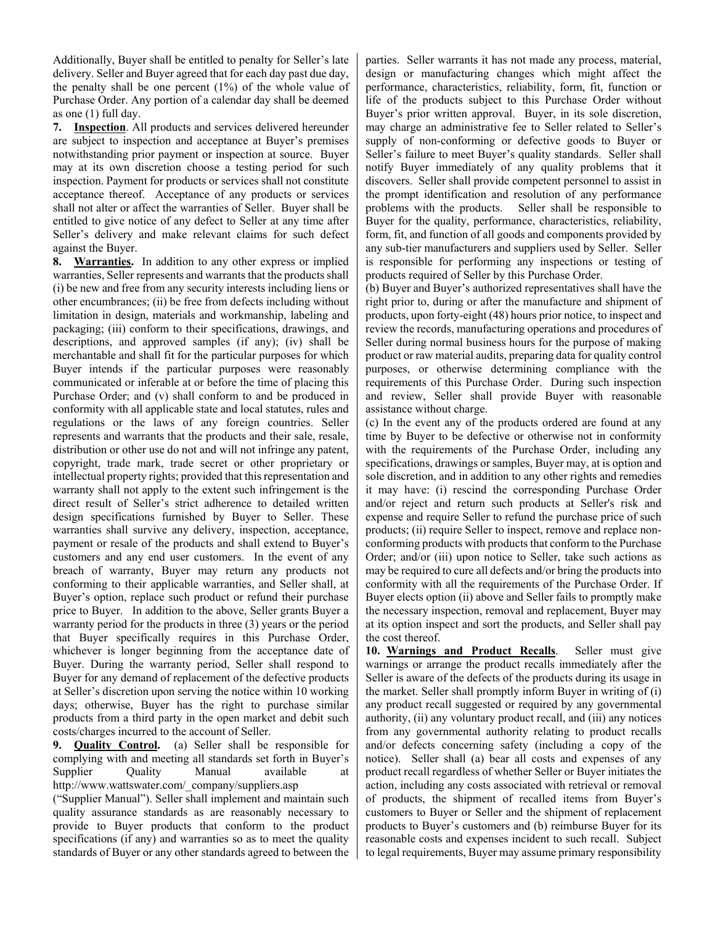Additionally, Buyer shall be entitled to penalty for Seller's late delivery. Seller and Buyer agreed that for each day past due day, the penalty shall be one percent (1%) of the whole value of Purchase Order. Any portion of a calendar day shall be deemed as one (1) full day.

**7. Inspection**. All products and services delivered hereunder are subject to inspection and acceptance at Buyer's premises notwithstanding prior payment or inspection at source. Buyer may at its own discretion choose a testing period for such inspection. Payment for products or services shall not constitute acceptance thereof. Acceptance of any products or services shall not alter or affect the warranties of Seller. Buyer shall be entitled to give notice of any defect to Seller at any time after Seller's delivery and make relevant claims for such defect against the Buyer.

**8. Warranties.** In addition to any other express or implied warranties, Seller represents and warrants that the products shall (i) be new and free from any security interests including liens or other encumbrances; (ii) be free from defects including without limitation in design, materials and workmanship, labeling and packaging; (iii) conform to their specifications, drawings, and descriptions, and approved samples (if any); (iv) shall be merchantable and shall fit for the particular purposes for which Buyer intends if the particular purposes were reasonably communicated or inferable at or before the time of placing this Purchase Order; and (v) shall conform to and be produced in conformity with all applicable state and local statutes, rules and regulations or the laws of any foreign countries. Seller represents and warrants that the products and their sale, resale, distribution or other use do not and will not infringe any patent, copyright, trade mark, trade secret or other proprietary or intellectual property rights; provided that this representation and warranty shall not apply to the extent such infringement is the direct result of Seller's strict adherence to detailed written design specifications furnished by Buyer to Seller. These warranties shall survive any delivery, inspection, acceptance, payment or resale of the products and shall extend to Buyer's customers and any end user customers. In the event of any breach of warranty, Buyer may return any products not conforming to their applicable warranties, and Seller shall, at Buyer's option, replace such product or refund their purchase price to Buyer. In addition to the above, Seller grants Buyer a warranty period for the products in three (3) years or the period that Buyer specifically requires in this Purchase Order, whichever is longer beginning from the acceptance date of Buyer. During the warranty period, Seller shall respond to Buyer for any demand of replacement of the defective products at Seller's discretion upon serving the notice within 10 working days; otherwise, Buyer has the right to purchase similar products from a third party in the open market and debit such costs/charges incurred to the account of Seller.

**9. Quality Control.** (a) Seller shall be responsible for complying with and meeting all standards set forth in Buyer's Supplier Quality Manual available at http://www.wattswater.com/\_company/suppliers.asp

("Supplier Manual"). Seller shall implement and maintain such quality assurance standards as are reasonably necessary to provide to Buyer products that conform to the product specifications (if any) and warranties so as to meet the quality standards of Buyer or any other standards agreed to between the parties. Seller warrants it has not made any process, material, design or manufacturing changes which might affect the performance, characteristics, reliability, form, fit, function or life of the products subject to this Purchase Order without Buyer's prior written approval. Buyer, in its sole discretion, may charge an administrative fee to Seller related to Seller's supply of non-conforming or defective goods to Buyer or Seller's failure to meet Buyer's quality standards. Seller shall notify Buyer immediately of any quality problems that it discovers. Seller shall provide competent personnel to assist in the prompt identification and resolution of any performance problems with the products. Seller shall be responsible to Buyer for the quality, performance, characteristics, reliability, form, fit, and function of all goods and components provided by any sub-tier manufacturers and suppliers used by Seller. Seller is responsible for performing any inspections or testing of products required of Seller by this Purchase Order.

(b) Buyer and Buyer's authorized representatives shall have the right prior to, during or after the manufacture and shipment of products, upon forty-eight (48) hours prior notice, to inspect and review the records, manufacturing operations and procedures of Seller during normal business hours for the purpose of making product or raw material audits, preparing data for quality control purposes, or otherwise determining compliance with the requirements of this Purchase Order. During such inspection and review, Seller shall provide Buyer with reasonable assistance without charge.

(c) In the event any of the products ordered are found at any time by Buyer to be defective or otherwise not in conformity with the requirements of the Purchase Order, including any specifications, drawings or samples, Buyer may, at is option and sole discretion, and in addition to any other rights and remedies it may have: (i) rescind the corresponding Purchase Order and/or reject and return such products at Seller's risk and expense and require Seller to refund the purchase price of such products; (ii) require Seller to inspect, remove and replace nonconforming products with products that conform to the Purchase Order; and/or (iii) upon notice to Seller, take such actions as may be required to cure all defects and/or bring the products into conformity with all the requirements of the Purchase Order. If Buyer elects option (ii) above and Seller fails to promptly make the necessary inspection, removal and replacement, Buyer may at its option inspect and sort the products, and Seller shall pay the cost thereof.

**10. Warnings and Product Recalls**. Seller must give warnings or arrange the product recalls immediately after the Seller is aware of the defects of the products during its usage in the market. Seller shall promptly inform Buyer in writing of (i) any product recall suggested or required by any governmental authority, (ii) any voluntary product recall, and (iii) any notices from any governmental authority relating to product recalls and/or defects concerning safety (including a copy of the notice). Seller shall (a) bear all costs and expenses of any product recall regardless of whether Seller or Buyer initiates the action, including any costs associated with retrieval or removal of products, the shipment of recalled items from Buyer's customers to Buyer or Seller and the shipment of replacement products to Buyer's customers and (b) reimburse Buyer for its reasonable costs and expenses incident to such recall. Subject to legal requirements, Buyer may assume primary responsibility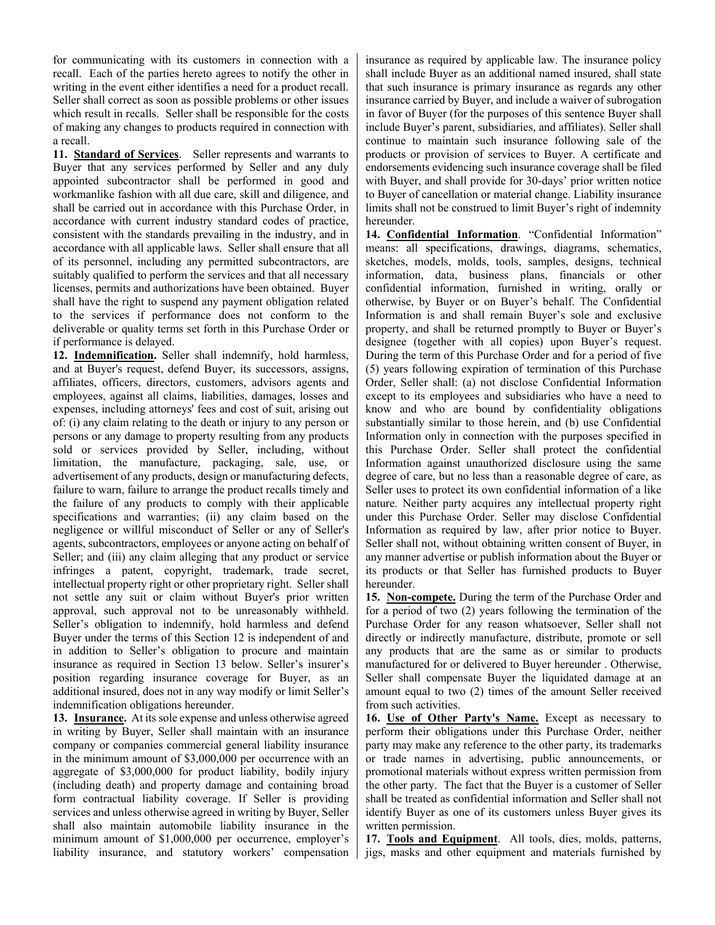for communicating with its customers in connection with a recall. Each of the parties hereto agrees to notify the other in writing in the event either identifies a need for a product recall. Seller shall correct as soon as possible problems or other issues which result in recalls. Seller shall be responsible for the costs of making any changes to products required in connection with a recall.

**11. Standard of Services**. Seller represents and warrants to Buyer that any services performed by Seller and any duly appointed subcontractor shall be performed in good and workmanlike fashion with all due care, skill and diligence, and shall be carried out in accordance with this Purchase Order, in accordance with current industry standard codes of practice, consistent with the standards prevailing in the industry, and in accordance with all applicable laws. Seller shall ensure that all of its personnel, including any permitted subcontractors, are suitably qualified to perform the services and that all necessary licenses, permits and authorizations have been obtained. Buyer shall have the right to suspend any payment obligation related to the services if performance does not conform to the deliverable or quality terms set forth in this Purchase Order or if performance is delayed.

**12. Indemnification.** Seller shall indemnify, hold harmless, and at Buyer's request, defend Buyer, its successors, assigns, affiliates, officers, directors, customers, advisors agents and employees, against all claims, liabilities, damages, losses and expenses, including attorneys' fees and cost of suit, arising out of: (i) any claim relating to the death or injury to any person or persons or any damage to property resulting from any products sold or services provided by Seller, including, without limitation, the manufacture, packaging, sale, use, or advertisement of any products, design or manufacturing defects, failure to warn, failure to arrange the product recalls timely and the failure of any products to comply with their applicable specifications and warranties; (ii) any claim based on the negligence or willful misconduct of Seller or any of Seller's agents, subcontractors, employees or anyone acting on behalf of Seller; and (iii) any claim alleging that any product or service infringes a patent, copyright, trademark, trade secret, intellectual property right or other proprietary right. Seller shall not settle any suit or claim without Buyer's prior written approval, such approval not to be unreasonably withheld. Seller's obligation to indemnify, hold harmless and defend Buyer under the terms of this Section 12 is independent of and in addition to Seller's obligation to procure and maintain insurance as required in Section 13 below. Seller's insurer's position regarding insurance coverage for Buyer, as an additional insured, does not in any way modify or limit Seller's indemnification obligations hereunder.

**13. Insurance.** At its sole expense and unless otherwise agreed in writing by Buyer, Seller shall maintain with an insurance company or companies commercial general liability insurance in the minimum amount of \$3,000,000 per occurrence with an aggregate of \$3,000,000 for product liability, bodily injury (including death) and property damage and containing broad form contractual liability coverage. If Seller is providing services and unless otherwise agreed in writing by Buyer, Seller shall also maintain automobile liability insurance in the minimum amount of \$1,000,000 per occurrence, employer's liability insurance, and statutory workers' compensation insurance as required by applicable law. The insurance policy shall include Buyer as an additional named insured, shall state that such insurance is primary insurance as regards any other insurance carried by Buyer, and include a waiver of subrogation in favor of Buyer (for the purposes of this sentence Buyer shall include Buyer's parent, subsidiaries, and affiliates). Seller shall continue to maintain such insurance following sale of the products or provision of services to Buyer. A certificate and endorsements evidencing such insurance coverage shall be filed with Buyer, and shall provide for 30-days' prior written notice to Buyer of cancellation or material change. Liability insurance limits shall not be construed to limit Buyer's right of indemnity hereunder.

**14. Confidential Information**. "Confidential Information" means: all specifications, drawings, diagrams, schematics, sketches, models, molds, tools, samples, designs, technical information, data, business plans, financials or other confidential information, furnished in writing, orally or otherwise, by Buyer or on Buyer's behalf. The Confidential Information is and shall remain Buyer's sole and exclusive property, and shall be returned promptly to Buyer or Buyer's designee (together with all copies) upon Buyer's request. During the term of this Purchase Order and for a period of five (5) years following expiration of termination of this Purchase Order, Seller shall: (a) not disclose Confidential Information except to its employees and subsidiaries who have a need to know and who are bound by confidentiality obligations substantially similar to those herein, and (b) use Confidential Information only in connection with the purposes specified in this Purchase Order. Seller shall protect the confidential Information against unauthorized disclosure using the same degree of care, but no less than a reasonable degree of care, as Seller uses to protect its own confidential information of a like nature. Neither party acquires any intellectual property right under this Purchase Order. Seller may disclose Confidential Information as required by law, after prior notice to Buyer. Seller shall not, without obtaining written consent of Buyer, in any manner advertise or publish information about the Buyer or its products or that Seller has furnished products to Buyer hereunder.

**15. Non-compete.** During the term of the Purchase Order and for a period of two (2) years following the termination of the Purchase Order for any reason whatsoever, Seller shall not directly or indirectly manufacture, distribute, promote or sell any products that are the same as or similar to products manufactured for or delivered to Buyer hereunder . Otherwise, Seller shall compensate Buyer the liquidated damage at an amount equal to two (2) times of the amount Seller received from such activities.

**16. Use of Other Party's Name.** Except as necessary to perform their obligations under this Purchase Order, neither party may make any reference to the other party, its trademarks or trade names in advertising, public announcements, or promotional materials without express written permission from the other party. The fact that the Buyer is a customer of Seller shall be treated as confidential information and Seller shall not identify Buyer as one of its customers unless Buyer gives its written permission.

**17. Tools and Equipment**. All tools, dies, molds, patterns, jigs, masks and other equipment and materials furnished by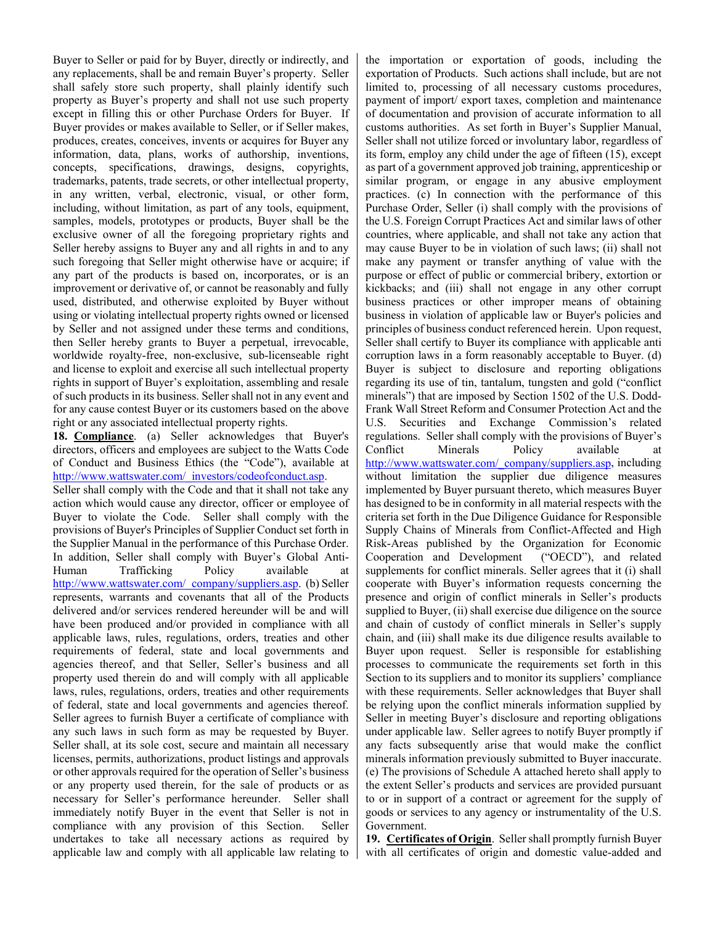Buyer to Seller or paid for by Buyer, directly or indirectly, and any replacements, shall be and remain Buyer's property. Seller shall safely store such property, shall plainly identify such property as Buyer's property and shall not use such property except in filling this or other Purchase Orders for Buyer. If Buyer provides or makes available to Seller, or if Seller makes, produces, creates, conceives, invents or acquires for Buyer any information, data, plans, works of authorship, inventions, concepts, specifications, drawings, designs, copyrights, trademarks, patents, trade secrets, or other intellectual property, in any written, verbal, electronic, visual, or other form, including, without limitation, as part of any tools, equipment, samples, models, prototypes or products, Buyer shall be the exclusive owner of all the foregoing proprietary rights and Seller hereby assigns to Buyer any and all rights in and to any such foregoing that Seller might otherwise have or acquire; if any part of the products is based on, incorporates, or is an improvement or derivative of, or cannot be reasonably and fully used, distributed, and otherwise exploited by Buyer without using or violating intellectual property rights owned or licensed by Seller and not assigned under these terms and conditions, then Seller hereby grants to Buyer a perpetual, irrevocable, worldwide royalty-free, non-exclusive, sub-licenseable right and license to exploit and exercise all such intellectual property rights in support of Buyer's exploitation, assembling and resale of such products in its business. Seller shall not in any event and for any cause contest Buyer or its customers based on the above right or any associated intellectual property rights.

**18. Compliance**. (a) Seller acknowledges that Buyer's directors, officers and employees are subject to the Watts Code of Conduct and Business Ethics (the "Code"), available at [http://www.wattswater.com/\\_investors/codeofconduct.asp.](http://www.wattswater.com/_investors/codeofconduct.asp) Seller shall comply with the Code and that it shall not take any action which would cause any director, officer or employee of Buyer to violate the Code. Seller shall comply with the provisions of Buyer's Principles of Supplier Conduct set forth in the Supplier Manual in the performance of this Purchase Order. In addition, Seller shall comply with Buyer's Global Anti-Human Trafficking Policy available at [http://www.wattswater.com/\\_company/suppliers.asp.](http://www.wattswater.com/_company/suppliers.asp) (b) Seller represents, warrants and covenants that all of the Products delivered and/or services rendered hereunder will be and will have been produced and/or provided in compliance with all applicable laws, rules, regulations, orders, treaties and other requirements of federal, state and local governments and agencies thereof, and that Seller, Seller's business and all property used therein do and will comply with all applicable laws, rules, regulations, orders, treaties and other requirements of federal, state and local governments and agencies thereof. Seller agrees to furnish Buyer a certificate of compliance with any such laws in such form as may be requested by Buyer. Seller shall, at its sole cost, secure and maintain all necessary licenses, permits, authorizations, product listings and approvals or other approvals required for the operation of Seller's business or any property used therein, for the sale of products or as necessary for Seller's performance hereunder. Seller shall immediately notify Buyer in the event that Seller is not in compliance with any provision of this Section. Seller undertakes to take all necessary actions as required by applicable law and comply with all applicable law relating to the importation or exportation of goods, including the exportation of Products. Such actions shall include, but are not limited to, processing of all necessary customs procedures, payment of import/ export taxes, completion and maintenance of documentation and provision of accurate information to all customs authorities. As set forth in Buyer's Supplier Manual, Seller shall not utilize forced or involuntary labor, regardless of its form, employ any child under the age of fifteen (15), except as part of a government approved job training, apprenticeship or similar program, or engage in any abusive employment practices. (c) In connection with the performance of this Purchase Order, Seller (i) shall comply with the provisions of the U.S. Foreign Corrupt Practices Act and similar laws of other countries, where applicable, and shall not take any action that may cause Buyer to be in violation of such laws; (ii) shall not make any payment or transfer anything of value with the purpose or effect of public or commercial bribery, extortion or kickbacks; and (iii) shall not engage in any other corrupt business practices or other improper means of obtaining business in violation of applicable law or Buyer's policies and principles of business conduct referenced herein. Upon request, Seller shall certify to Buyer its compliance with applicable anti corruption laws in a form reasonably acceptable to Buyer. (d) Buyer is subject to disclosure and reporting obligations regarding its use of tin, tantalum, tungsten and gold ("conflict minerals") that are imposed by Section 1502 of the U.S. Dodd-Frank Wall Street Reform and Consumer Protection Act and the U.S. Securities and Exchange Commission's related regulations. Seller shall comply with the provisions of Buyer's Conflict Minerals Policy available [http://www.wattswater.com/\\_company/suppliers.asp,](http://www.wattswater.com/_company/suppliers.asp) including without limitation the supplier due diligence measures implemented by Buyer pursuant thereto, which measures Buyer has designed to be in conformity in all material respects with the criteria set forth in the Due Diligence Guidance for Responsible Supply Chains of Minerals from Conflict-Affected and High Risk-Areas published by the Organization for Economic Cooperation and Development ("OECD"), and related supplements for conflict minerals. Seller agrees that it (i) shall cooperate with Buyer's information requests concerning the presence and origin of conflict minerals in Seller's products supplied to Buyer, (ii) shall exercise due diligence on the source and chain of custody of conflict minerals in Seller's supply chain, and (iii) shall make its due diligence results available to Buyer upon request. Seller is responsible for establishing processes to communicate the requirements set forth in this Section to its suppliers and to monitor its suppliers' compliance with these requirements. Seller acknowledges that Buyer shall be relying upon the conflict minerals information supplied by Seller in meeting Buyer's disclosure and reporting obligations under applicable law. Seller agrees to notify Buyer promptly if any facts subsequently arise that would make the conflict minerals information previously submitted to Buyer inaccurate. (e) The provisions of Schedule A attached hereto shall apply to the extent Seller's products and services are provided pursuant to or in support of a contract or agreement for the supply of goods or services to any agency or instrumentality of the U.S. Government.

**19. Certificates of Origin**. Seller shall promptly furnish Buyer with all certificates of origin and domestic value-added and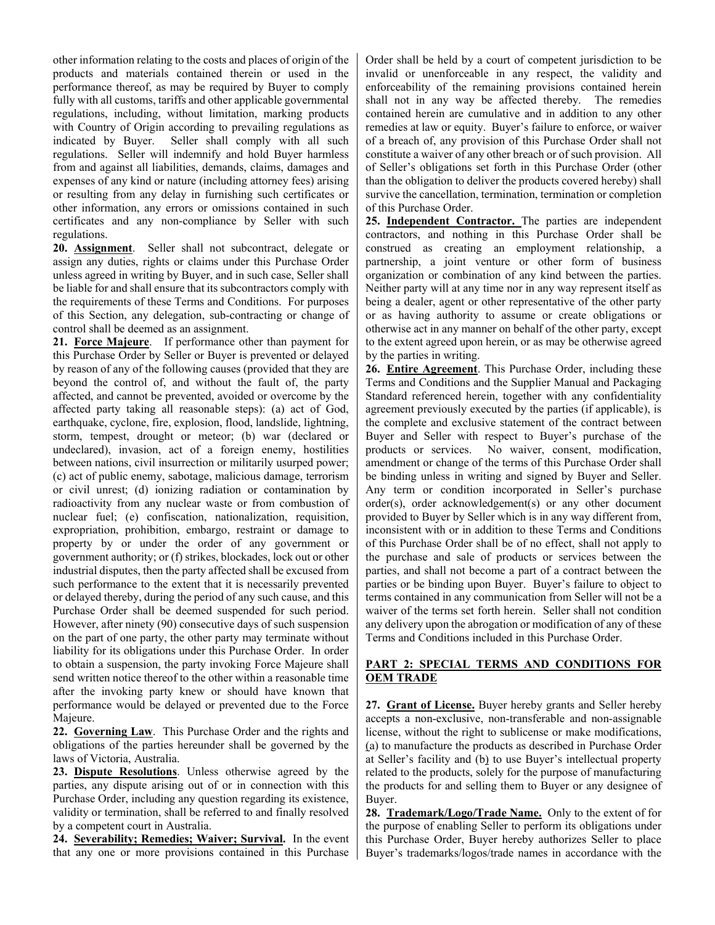other information relating to the costs and places of origin of the products and materials contained therein or used in the performance thereof, as may be required by Buyer to comply fully with all customs, tariffs and other applicable governmental regulations, including, without limitation, marking products with Country of Origin according to prevailing regulations as indicated by Buyer. Seller shall comply with all such regulations. Seller will indemnify and hold Buyer harmless from and against all liabilities, demands, claims, damages and expenses of any kind or nature (including attorney fees) arising or resulting from any delay in furnishing such certificates or other information, any errors or omissions contained in such certificates and any non-compliance by Seller with such regulations.

**20. Assignment**. Seller shall not subcontract, delegate or assign any duties, rights or claims under this Purchase Order unless agreed in writing by Buyer, and in such case, Seller shall be liable for and shall ensure that its subcontractors comply with the requirements of these Terms and Conditions. For purposes of this Section, any delegation, sub-contracting or change of control shall be deemed as an assignment.

**21. Force Majeure**. If performance other than payment for this Purchase Order by Seller or Buyer is prevented or delayed by reason of any of the following causes (provided that they are beyond the control of, and without the fault of, the party affected, and cannot be prevented, avoided or overcome by the affected party taking all reasonable steps): (a) act of God, earthquake, cyclone, fire, explosion, flood, landslide, lightning, storm, tempest, drought or meteor; (b) war (declared or undeclared), invasion, act of a foreign enemy, hostilities between nations, civil insurrection or militarily usurped power; (c) act of public enemy, sabotage, malicious damage, terrorism or civil unrest; (d) ionizing radiation or contamination by radioactivity from any nuclear waste or from combustion of nuclear fuel; (e) confiscation, nationalization, requisition, expropriation, prohibition, embargo, restraint or damage to property by or under the order of any government or government authority; or (f) strikes, blockades, lock out or other industrial disputes, then the party affected shall be excused from such performance to the extent that it is necessarily prevented or delayed thereby, during the period of any such cause, and this Purchase Order shall be deemed suspended for such period. However, after ninety (90) consecutive days of such suspension on the part of one party, the other party may terminate without liability for its obligations under this Purchase Order. In order to obtain a suspension, the party invoking Force Majeure shall send written notice thereof to the other within a reasonable time after the invoking party knew or should have known that performance would be delayed or prevented due to the Force Majeure.

**22. Governing Law**. This Purchase Order and the rights and obligations of the parties hereunder shall be governed by the laws of Victoria, Australia.

**23. Dispute Resolutions**. Unless otherwise agreed by the parties, any dispute arising out of or in connection with this Purchase Order, including any question regarding its existence, validity or termination, shall be referred to and finally resolved by a competent court in Australia.

**24. Severability; Remedies; Waiver; Survival.** In the event that any one or more provisions contained in this Purchase Order shall be held by a court of competent jurisdiction to be invalid or unenforceable in any respect, the validity and enforceability of the remaining provisions contained herein shall not in any way be affected thereby. The remedies contained herein are cumulative and in addition to any other remedies at law or equity. Buyer's failure to enforce, or waiver of a breach of, any provision of this Purchase Order shall not constitute a waiver of any other breach or of such provision. All of Seller's obligations set forth in this Purchase Order (other than the obligation to deliver the products covered hereby) shall survive the cancellation, termination, termination or completion of this Purchase Order.

**25. Independent Contractor.** The parties are independent contractors, and nothing in this Purchase Order shall be construed as creating an employment relationship, a partnership, a joint venture or other form of business organization or combination of any kind between the parties. Neither party will at any time nor in any way represent itself as being a dealer, agent or other representative of the other party or as having authority to assume or create obligations or otherwise act in any manner on behalf of the other party, except to the extent agreed upon herein, or as may be otherwise agreed by the parties in writing.

**26. Entire Agreement**. This Purchase Order, including these Terms and Conditions and the Supplier Manual and Packaging Standard referenced herein, together with any confidentiality agreement previously executed by the parties (if applicable), is the complete and exclusive statement of the contract between Buyer and Seller with respect to Buyer's purchase of the products or services. No waiver, consent, modification, amendment or change of the terms of this Purchase Order shall be binding unless in writing and signed by Buyer and Seller. Any term or condition incorporated in Seller's purchase order(s), order acknowledgement(s) or any other document provided to Buyer by Seller which is in any way different from, inconsistent with or in addition to these Terms and Conditions of this Purchase Order shall be of no effect, shall not apply to the purchase and sale of products or services between the parties, and shall not become a part of a contract between the parties or be binding upon Buyer. Buyer's failure to object to terms contained in any communication from Seller will not be a waiver of the terms set forth herein. Seller shall not condition any delivery upon the abrogation or modification of any of these Terms and Conditions included in this Purchase Order.

## **PART 2: SPECIAL TERMS AND CONDITIONS FOR OEM TRADE**

**27. Grant of License.** Buyer hereby grants and Seller hereby accepts a non-exclusive, non-transferable and non-assignable license, without the right to sublicense or make modifications, (a) to manufacture the products as described in Purchase Order at Seller's facility and (b) to use Buyer's intellectual property related to the products, solely for the purpose of manufacturing the products for and selling them to Buyer or any designee of Buyer.

**28. Trademark/Logo/Trade Name.** Only to the extent of for the purpose of enabling Seller to perform its obligations under this Purchase Order, Buyer hereby authorizes Seller to place Buyer's trademarks/logos/trade names in accordance with the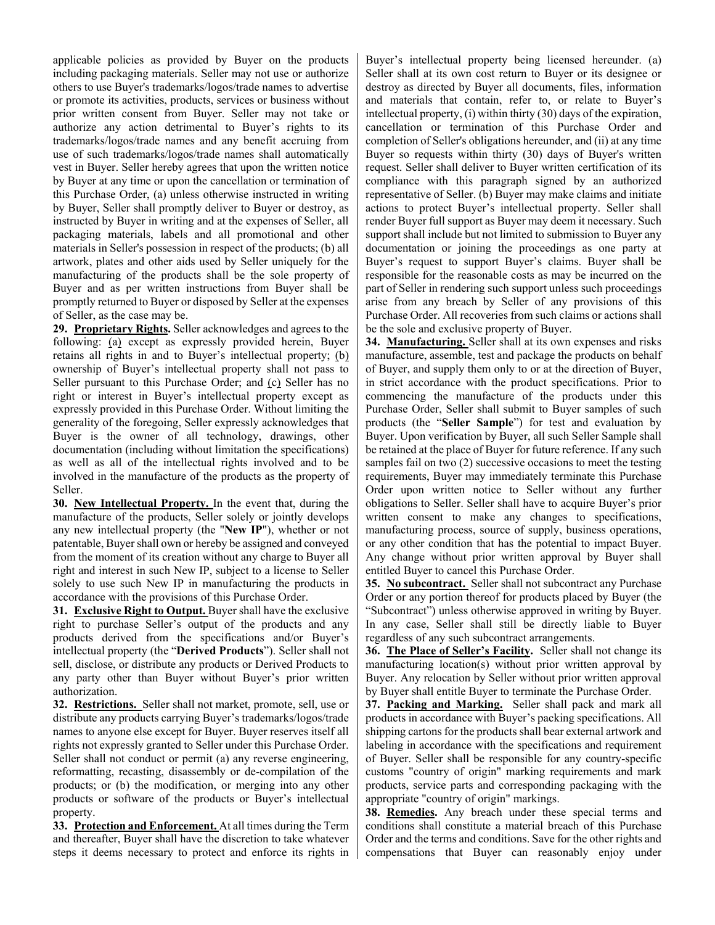applicable policies as provided by Buyer on the products including packaging materials. Seller may not use or authorize others to use Buyer's trademarks/logos/trade names to advertise or promote its activities, products, services or business without prior written consent from Buyer. Seller may not take or authorize any action detrimental to Buyer's rights to its trademarks/logos/trade names and any benefit accruing from use of such trademarks/logos/trade names shall automatically vest in Buyer. Seller hereby agrees that upon the written notice by Buyer at any time or upon the cancellation or termination of this Purchase Order, (a) unless otherwise instructed in writing by Buyer, Seller shall promptly deliver to Buyer or destroy, as instructed by Buyer in writing and at the expenses of Seller, all packaging materials, labels and all promotional and other materials in Seller's possession in respect of the products; (b) all artwork, plates and other aids used by Seller uniquely for the manufacturing of the products shall be the sole property of Buyer and as per written instructions from Buyer shall be promptly returned to Buyer or disposed by Seller at the expenses of Seller, as the case may be.

**29. Proprietary Rights.** Seller acknowledges and agrees to the following: (a) except as expressly provided herein, Buyer retains all rights in and to Buyer's intellectual property; (b) ownership of Buyer's intellectual property shall not pass to Seller pursuant to this Purchase Order; and (c) Seller has no right or interest in Buyer's intellectual property except as expressly provided in this Purchase Order. Without limiting the generality of the foregoing, Seller expressly acknowledges that Buyer is the owner of all technology, drawings, other documentation (including without limitation the specifications) as well as all of the intellectual rights involved and to be involved in the manufacture of the products as the property of Seller.

**30. New Intellectual Property.** In the event that, during the manufacture of the products, Seller solely or jointly develops any new intellectual property (the "**New IP**"), whether or not patentable, Buyer shall own or hereby be assigned and conveyed from the moment of its creation without any charge to Buyer all right and interest in such New IP, subject to a license to Seller solely to use such New IP in manufacturing the products in accordance with the provisions of this Purchase Order.

**31. Exclusive Right to Output.** Buyer shall have the exclusive right to purchase Seller's output of the products and any products derived from the specifications and/or Buyer's intellectual property (the "**Derived Products**"). Seller shall not sell, disclose, or distribute any products or Derived Products to any party other than Buyer without Buyer's prior written authorization.

**32. Restrictions.** Seller shall not market, promote, sell, use or distribute any products carrying Buyer's trademarks/logos/trade names to anyone else except for Buyer. Buyer reserves itself all rights not expressly granted to Seller under this Purchase Order. Seller shall not conduct or permit (a) any reverse engineering, reformatting, recasting, disassembly or de-compilation of the products; or (b) the modification, or merging into any other products or software of the products or Buyer's intellectual property.

**33. Protection and Enforcement.** At all times during the Term and thereafter, Buyer shall have the discretion to take whatever steps it deems necessary to protect and enforce its rights in Buyer's intellectual property being licensed hereunder. (a) Seller shall at its own cost return to Buyer or its designee or destroy as directed by Buyer all documents, files, information and materials that contain, refer to, or relate to Buyer's intellectual property, (i) within thirty (30) days of the expiration, cancellation or termination of this Purchase Order and completion of Seller's obligations hereunder, and (ii) at any time Buyer so requests within thirty (30) days of Buyer's written request. Seller shall deliver to Buyer written certification of its compliance with this paragraph signed by an authorized representative of Seller. (b) Buyer may make claims and initiate actions to protect Buyer's intellectual property. Seller shall render Buyer full support as Buyer may deem it necessary. Such support shall include but not limited to submission to Buyer any documentation or joining the proceedings as one party at Buyer's request to support Buyer's claims. Buyer shall be responsible for the reasonable costs as may be incurred on the part of Seller in rendering such support unless such proceedings arise from any breach by Seller of any provisions of this Purchase Order. All recoveries from such claims or actions shall be the sole and exclusive property of Buyer.

**34. Manufacturing.** Seller shall at its own expenses and risks manufacture, assemble, test and package the products on behalf of Buyer, and supply them only to or at the direction of Buyer, in strict accordance with the product specifications. Prior to commencing the manufacture of the products under this Purchase Order, Seller shall submit to Buyer samples of such products (the "**Seller Sample**") for test and evaluation by Buyer. Upon verification by Buyer, all such Seller Sample shall be retained at the place of Buyer for future reference. If any such samples fail on two (2) successive occasions to meet the testing requirements, Buyer may immediately terminate this Purchase Order upon written notice to Seller without any further obligations to Seller. Seller shall have to acquire Buyer's prior written consent to make any changes to specifications, manufacturing process, source of supply, business operations, or any other condition that has the potential to impact Buyer. Any change without prior written approval by Buyer shall entitled Buyer to cancel this Purchase Order.

**35. No subcontract.** Seller shall not subcontract any Purchase Order or any portion thereof for products placed by Buyer (the "Subcontract") unless otherwise approved in writing by Buyer. In any case, Seller shall still be directly liable to Buyer regardless of any such subcontract arrangements.

**36. The Place of Seller's Facility.** Seller shall not change its manufacturing location(s) without prior written approval by Buyer. Any relocation by Seller without prior written approval by Buyer shall entitle Buyer to terminate the Purchase Order.

**37. Packing and Marking.** Seller shall pack and mark all products in accordance with Buyer's packing specifications. All shipping cartons for the products shall bear external artwork and labeling in accordance with the specifications and requirement of Buyer. Seller shall be responsible for any country-specific customs "country of origin" marking requirements and mark products, service parts and corresponding packaging with the appropriate "country of origin" markings.

**38. Remedies.** Any breach under these special terms and conditions shall constitute a material breach of this Purchase Order and the terms and conditions. Save for the other rights and compensations that Buyer can reasonably enjoy under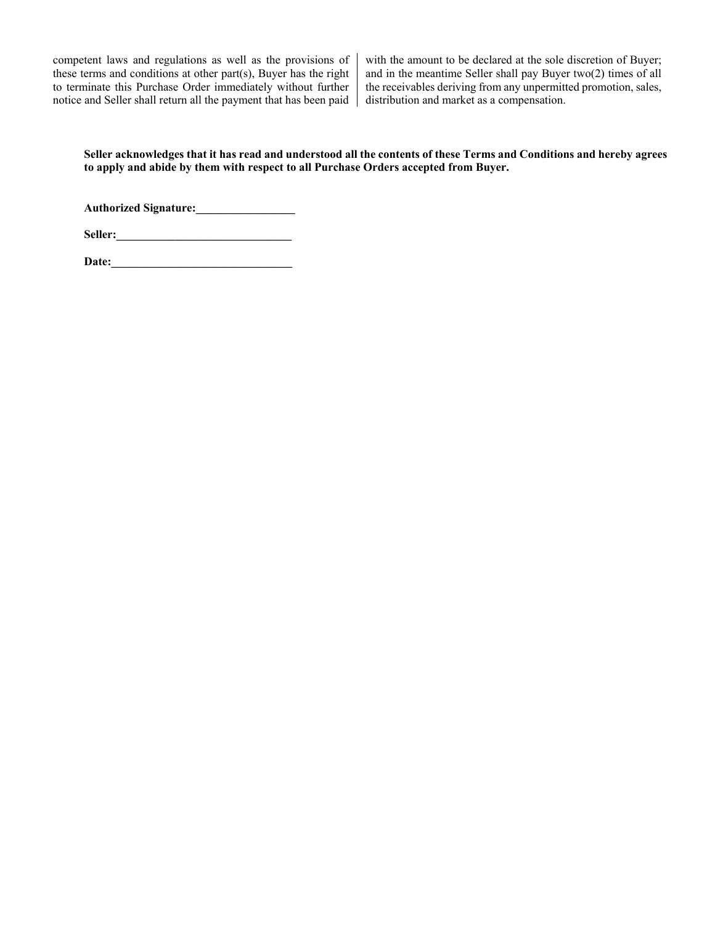competent laws and regulations as well as the provisions of these terms and conditions at other part(s), Buyer has the right to terminate this Purchase Order immediately without further notice and Seller shall return all the payment that has been paid

with the amount to be declared at the sole discretion of Buyer; and in the meantime Seller shall pay Buyer two(2) times of all the receivables deriving from any unpermitted promotion, sales, distribution and market as a compensation.

**Seller acknowledges that it has read and understood all the contents of these Terms and Conditions and hereby agrees to apply and abide by them with respect to all Purchase Orders accepted from Buyer.** 

**Authorized Signature:\_\_\_\_\_\_\_\_\_\_\_\_\_\_\_\_\_**

**Seller:\_\_\_\_\_\_\_\_\_\_\_\_\_\_\_\_\_\_\_\_\_\_\_\_\_\_\_\_\_\_**

**Date:\_\_\_\_\_\_\_\_\_\_\_\_\_\_\_\_\_\_\_\_\_\_\_\_\_\_\_\_\_\_\_**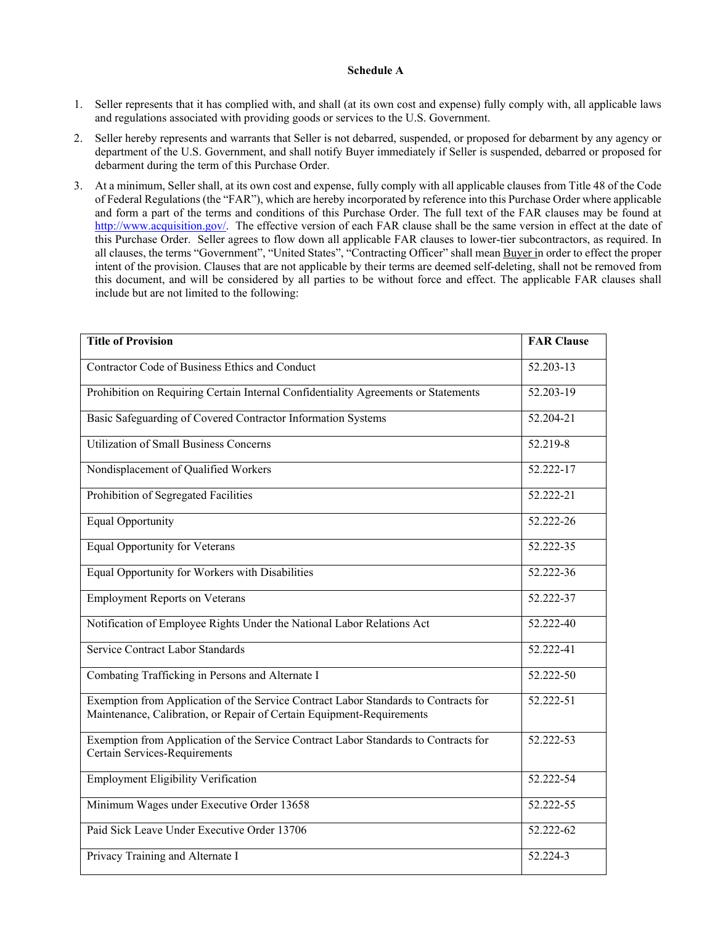## **Schedule A**

- 1. Seller represents that it has complied with, and shall (at its own cost and expense) fully comply with, all applicable laws and regulations associated with providing goods or services to the U.S. Government.
- 2. Seller hereby represents and warrants that Seller is not debarred, suspended, or proposed for debarment by any agency or department of the U.S. Government, and shall notify Buyer immediately if Seller is suspended, debarred or proposed for debarment during the term of this Purchase Order.
- 3. At a minimum, Seller shall, at its own cost and expense, fully comply with all applicable clauses from Title 48 of the Code of Federal Regulations (the "FAR"), which are hereby incorporated by reference into this Purchase Order where applicable and form a part of the terms and conditions of this Purchase Order. The full text of the FAR clauses may be found at [http://www.acquisition.gov/.](http://www.acquisition.gov/) The effective version of each FAR clause shall be the same version in effect at the date of this Purchase Order. Seller agrees to flow down all applicable FAR clauses to lower-tier subcontractors, as required. In all clauses, the terms "Government", "United States", "Contracting Officer" shall mean Buyer in order to effect the proper intent of the provision. Clauses that are not applicable by their terms are deemed self-deleting, shall not be removed from this document, and will be considered by all parties to be without force and effect. The applicable FAR clauses shall include but are not limited to the following:

| <b>Title of Provision</b>                                                                                                                                    | <b>FAR Clause</b> |
|--------------------------------------------------------------------------------------------------------------------------------------------------------------|-------------------|
| Contractor Code of Business Ethics and Conduct                                                                                                               | $52.203 - 13$     |
| Prohibition on Requiring Certain Internal Confidentiality Agreements or Statements                                                                           | 52.203-19         |
| Basic Safeguarding of Covered Contractor Information Systems                                                                                                 | 52.204-21         |
| <b>Utilization of Small Business Concerns</b>                                                                                                                | 52.219-8          |
| Nondisplacement of Qualified Workers                                                                                                                         | 52.222-17         |
| Prohibition of Segregated Facilities                                                                                                                         | 52.222-21         |
| <b>Equal Opportunity</b>                                                                                                                                     | 52.222-26         |
| <b>Equal Opportunity for Veterans</b>                                                                                                                        | $52.222 - 35$     |
| Equal Opportunity for Workers with Disabilities                                                                                                              | 52.222-36         |
| <b>Employment Reports on Veterans</b>                                                                                                                        | 52.222-37         |
| Notification of Employee Rights Under the National Labor Relations Act                                                                                       | 52.222-40         |
| Service Contract Labor Standards                                                                                                                             | 52.222-41         |
| Combating Trafficking in Persons and Alternate I                                                                                                             | 52.222-50         |
| Exemption from Application of the Service Contract Labor Standards to Contracts for<br>Maintenance, Calibration, or Repair of Certain Equipment-Requirements | 52.222-51         |
| Exemption from Application of the Service Contract Labor Standards to Contracts for<br>Certain Services-Requirements                                         | 52.222-53         |
| <b>Employment Eligibility Verification</b>                                                                                                                   | 52.222-54         |
| Minimum Wages under Executive Order 13658                                                                                                                    | 52.222-55         |
| Paid Sick Leave Under Executive Order 13706                                                                                                                  | 52.222-62         |
| Privacy Training and Alternate I                                                                                                                             | 52.224-3          |